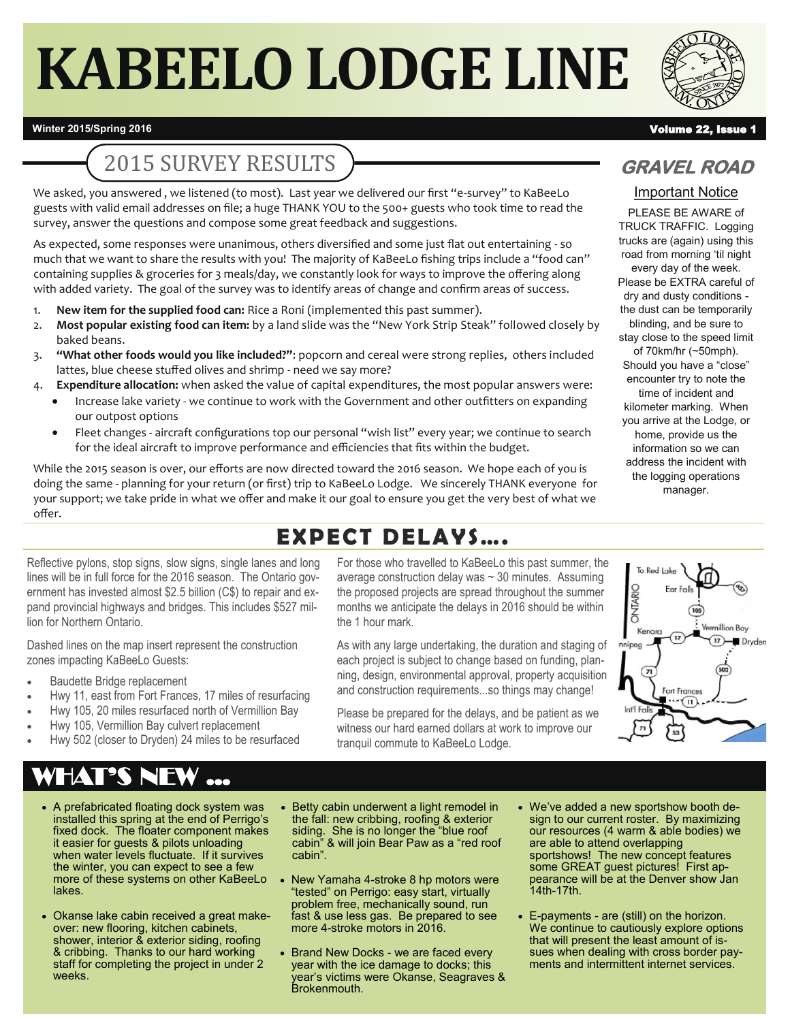# **KABEELO LODGE LINE**



#### **Winter 2015/Spring 2016** Volume 22, Issue 1

# 2015 SURVEY RESULTS

We asked, you answered , we listened (to most). Last year we delivered our first "e-survey" to KaBeeLo guests with valid email addresses on file; a huge THANK YOU to the 500+ guests who took time to read the survey, answer the questions and compose some great feedback and suggestions.

As expected, some responses were unanimous, others diversified and some just flat out entertaining - so much that we want to share the results with you! The majority of KaBeeLo fishing trips include a "food can" containing supplies & groceries for 3 meals/day, we constantly look for ways to improve the offering along with added variety. The goal of the survey was to identify areas of change and confirm areas of success.

- 1. **New item for the supplied food can:** Rice a Roni (implemented this past summer).
- 2. **Most popular existing food can item:** by a land slide was the "New York Strip Steak" followed closely by baked beans.
- 3. **"What other foods would you like included?"**: popcorn and cereal were strong replies, others included lattes, blue cheese stuffed olives and shrimp - need we say more?
- 4. **Expenditure allocation:** when asked the value of capital expenditures, the most popular answers were:
	- Increase lake variety we continue to work with the Government and other outfitters on expanding our outpost options
	- Fleet changes aircraft configurations top our personal "wish list" every year; we continue to search for the ideal aircraft to improve performance and efficiencies that fits within the budget.

While the 2015 season is over, our efforts are now directed toward the 2016 season. We hope each of you is doing the same - planning for your return (or first) trip to KaBeeLo Lodge. We sincerely THANK everyone for your support; we take pride in what we offer and make it our goal to ensure you get the very best of what we offer.

# **EXPECT DELAYS….**

Reflective pylons, stop signs, slow signs, single lanes and long lines will be in full force for the 2016 season. The Ontario government has invested almost \$2.5 billion (C\$) to repair and expand provincial highways and bridges. This includes \$527 million for Northern Ontario.

Dashed lines on the map insert represent the construction zones impacting KaBeeLo Guests:

- Baudette Bridge replacement
- Hwy 11, east from Fort Frances, 17 miles of resurfacing
- Hwy 105, 20 miles resurfaced north of Vermillion Bay
- Hwy 105, Vermillion Bay culvert replacement
- Hwy 502 (closer to Dryden) 24 miles to be resurfaced

# WHAT'S NEW ...

- A prefabricated floating dock system was installed this spring at the end of Perrigo's fixed dock. The floater component makes it easier for guests & pilots unloading when water levels fluctuate. If it survives the winter, you can expect to see a few more of these systems on other KaBeeLo lakes.
- Okanse lake cabin received a great makeover: new flooring, kitchen cabinets, shower, interior & exterior siding, roofing & cribbing. Thanks to our hard working staff for completing the project in under 2 weeks.

average construction delay was ~ 30 minutes. Assuming the proposed projects are spread throughout the summer months we anticipate the delays in 2016 should be within the 1 hour mark.

For those who travelled to KaBeeLo this past summer, the

As with any large undertaking, the duration and staging of each project is subject to change based on funding, planning, design, environmental approval, property acquisition and construction requirements...so things may change!

To Red Lak ONTARIO ermillion Bay Kenora Dryder innipeg  $\sqrt{n}$ Fort Frances

Please be prepared for the delays, and be patient as we witness our hard earned dollars at work to improve our tranquil commute to KaBeeLo Lodge.

- Betty cabin underwent a light remodel in the fall: new cribbing, roofing & exterior siding. She is no longer the "blue roof cabin" & will join Bear Paw as a "red roof cabin".
- New Yamaha 4-stroke 8 hp motors were "tested" on Perrigo: easy start, virtually problem free, mechanically sound, run fast & use less gas. Be prepared to see more 4-stroke motors in 2016.
- Brand New Docks we are faced every year with the ice damage to docks; this year's victims were Okanse, Seagraves & Brokenmouth.
- We've added a new sportshow booth design to our current roster. By maximizing our resources (4 warm & able bodies) we are able to attend overlapping sportshows! The new concept features some GREAT guest pictures! First appearance will be at the Denver show Jan 14th-17th.
- E-payments are (still) on the horizon. We continue to cautiously explore options that will present the least amount of issues when dealing with cross border payments and intermittent internet services.

### **GRAVEL ROAD**

#### Important Notice

PLEASE BE AWARE of TRUCK TRAFFIC. Logging trucks are (again) using this road from morning 'til night every day of the week. Please be EXTRA careful of dry and dusty conditions the dust can be temporarily blinding, and be sure to stay close to the speed limit of 70km/hr (~50mph). Should you have a "close" encounter try to note the time of incident and kilometer marking. When you arrive at the Lodge, or home, provide us the information so we can address the incident with the logging operations manager.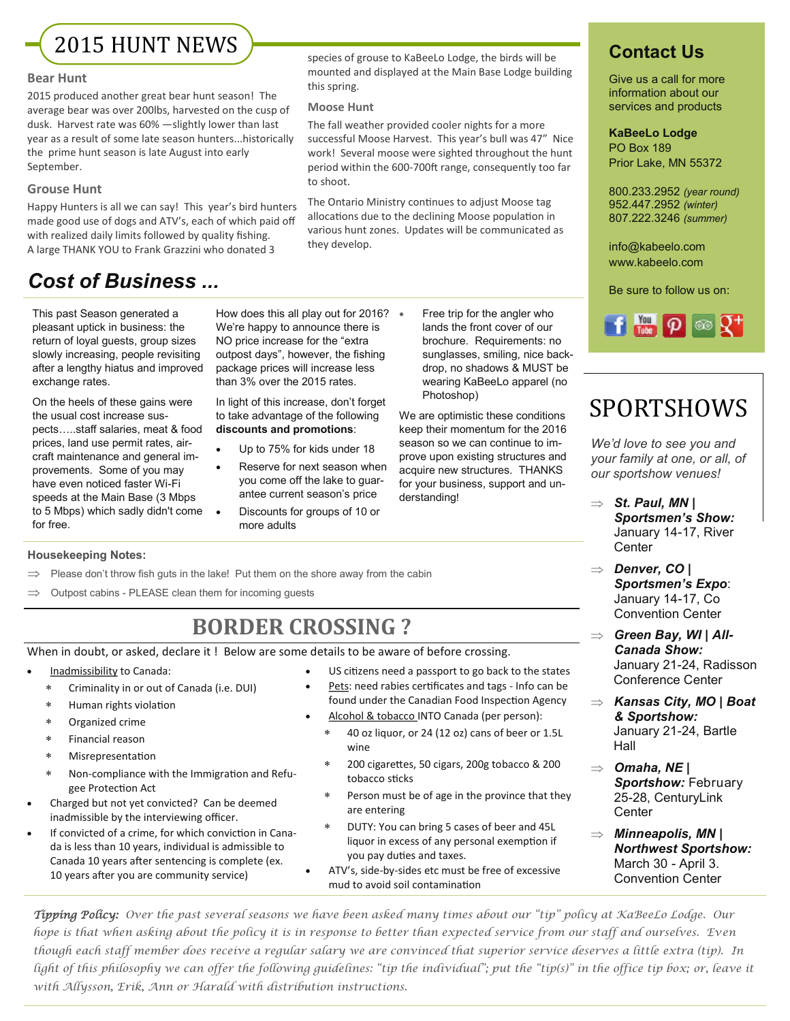2015 HUNT NEWS

#### **Bear Hunt**

2015 produced another great bear hunt season! The average bear was over 200lbs, harvested on the cusp of dusk. Harvest rate was 60% —slightly lower than last year as a result of some late season hunters...historically the prime hunt season is late August into early September.

#### **Grouse Hunt**

Happy Hunters is all we can say! This year's bird hunters made good use of dogs and ATV's, each of which paid off with realized daily limits followed by quality fishing. A large THANK YOU to Frank Grazzini who donated 3

### *Cost of Business ...*

This past Season generated a pleasant uptick in business: the return of loyal guests, group sizes slowly increasing, people revisiting after a lengthy hiatus and improved exchange rates.

On the heels of these gains were the usual cost increase suspects…..staff salaries, meat & food prices, land use permit rates, aircraft maintenance and general improvements. Some of you may have even noticed faster Wi-Fi speeds at the Main Base (3 Mbps to 5 Mbps) which sadly didn't come for free.

How does this all play out for 2016? • We're happy to announce there is NO price increase for the "extra

this spring. **Moose Hunt**

to shoot.

they develop.

than 3% over the 2015 rates. In light of this increase, don't forget to take advantage of the following **discounts and promotions**:

outpost days", however, the fishing package prices will increase less

- Up to 75% for kids under 18
- Reserve for next season when you come off the lake to guarantee current season's price
	- Discounts for groups of 10 or more adults

 Free trip for the angler who lands the front cover of our brochure. Requirements: no sunglasses, smiling, nice backdrop, no shadows & MUST be wearing KaBeeLo apparel (no Photoshop)

We are optimistic these conditions keep their momentum for the 2016 season so we can continue to improve upon existing structures and acquire new structures. THANKS for your business, support and un-

derstanding!

species of grouse to KaBeeLo Lodge, the birds will be mounted and displayed at the Main Base Lodge building

The fall weather provided cooler nights for a more successful Moose Harvest. This year's bull was 47" Nice work! Several moose were sighted throughout the hunt period within the 600-700ft range, consequently too far

The Ontario Ministry continues to adjust Moose tag allocations due to the declining Moose population in various hunt zones. Updates will be communicated as

### **Contact Us**

Give us a call for more information about our services and products

#### **KaBeeLo Lodge** PO Box 189

Prior Lake, MN 55372

800.233.2952 *(year round)* 952.447.2952 *(winter)* 807.222.3246 *(summer)*

info@kabeelo.com www.kabeelo.com

Be sure to follow us on:



# SPORTSHOWS

*We'd love to see you and your family at one, or all, of our sportshow venues!* 

- $\Rightarrow$  *St. Paul, MN* | *Sportsmen's Show:* January 14-17, River **Center**
- *Denver, CO | Sportsmen's Expo*: January 14-17, Co Convention Center

 *Green Bay, WI | All-Canada Show:*  January 21-24, Radisson Conference Center

- *Kansas City, MO | Boat & Sportshow:* January 21-24, Bartle Hall
- $\Rightarrow$  Omaha, NE | *Sportshow:* February 25-28, CenturyLink **Center**
- *Minneapolis, MN | Northwest Sportshow:*  March 30 - April 3. Convention Center

**Housekeeping Notes:**

- Please don't throw fish guts in the lake! Put them on the shore away from the cabin
- $\implies$  Outpost cabins PLEASE clean them for incoming guests

# **BORDER CROSSING ?**

When in doubt, or asked, declare it ! Below are some details to be aware of before crossing.

- Inadmissibility to Canada:
	- Criminality in or out of Canada (i.e. DUI)
	- Human rights violation
	- Organized crime
	- Financial reason
	- Misrepresentation
	- Non-compliance with the Immigration and Refugee Protection Act
- Charged but not yet convicted? Can be deemed inadmissible by the interviewing officer.
- If convicted of a crime, for which conviction in Canada is less than 10 years, individual is admissible to Canada 10 years after sentencing is complete (ex. 10 years after you are community service)
- US citizens need a passport to go back to the states
- Pets: need rabies certificates and tags Info can be found under the Canadian Food Inspection Agency
- Alcohol & tobacco INTO Canada (per person):
	- 40 oz liquor, or 24 (12 oz) cans of beer or 1.5L wine
	- 200 cigarettes, 50 cigars, 200g tobacco & 200 tobacco sticks
	- Person must be of age in the province that they are entering
	- DUTY: You can bring 5 cases of beer and 45L liquor in excess of any personal exemption if you pay duties and taxes.
	- ATV's, side-by-sides etc must be free of excessive mud to avoid soil contamination

*Tipping Policy: Over the past several seasons we have been asked many times about our "tip" policy at KaBeeLo Lodge. Our hope is that when asking about the policy it is in response to better than expected service from our staff and ourselves. Even though each staff member does receive a regular salary we are convinced that superior service deserves a little extra (tip). In light of this philosophy we can offer the following guidelines: "tip the individual"; put the "tip(s)" in the office tip box; or, leave it with Allysson, Erik, Ann or Harald with distribution instructions.*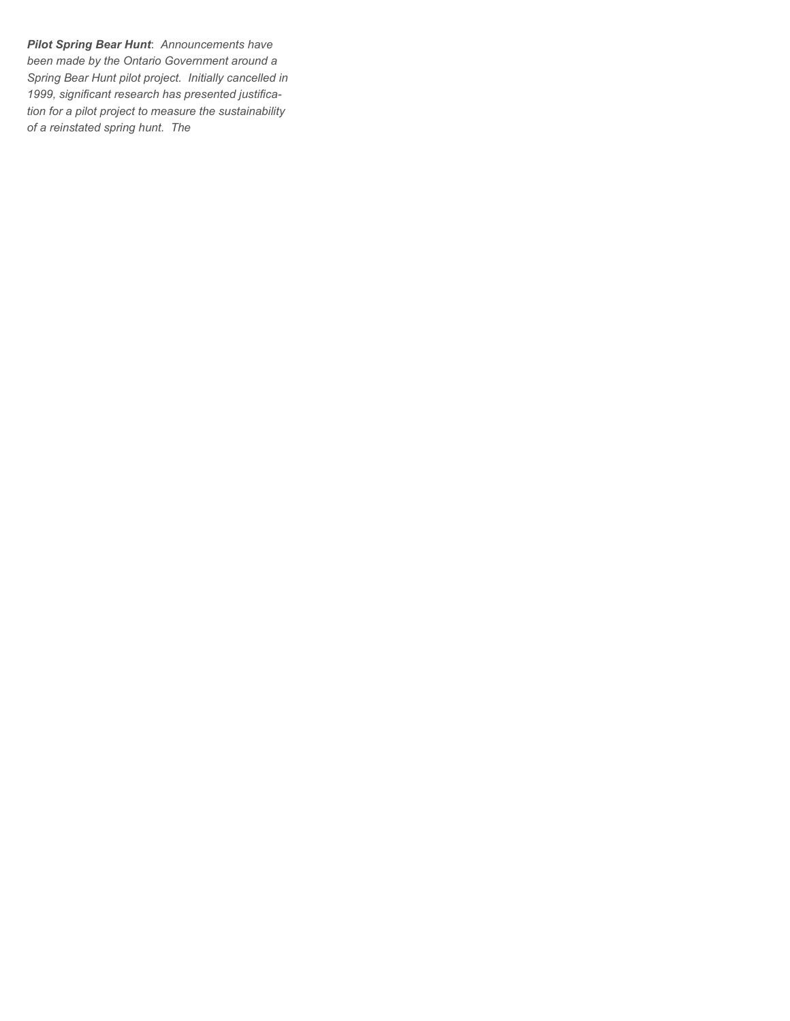*Pilot Spring Bear Hunt*: *Announcements have been made by the Ontario Government around a Spring Bear Hunt pilot project. Initially cancelled in 1999, significant research has presented justification for a pilot project to measure the sustainability of a reinstated spring hunt. The*